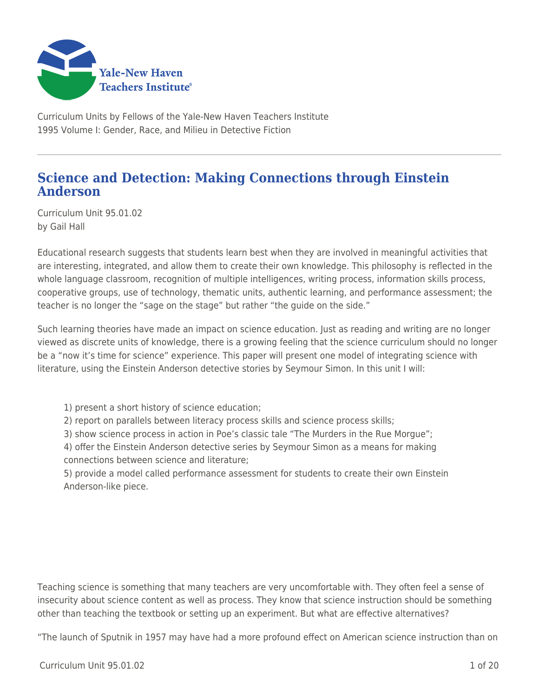

Curriculum Units by Fellows of the Yale-New Haven Teachers Institute 1995 Volume I: Gender, Race, and Milieu in Detective Fiction

### **Science and Detection: Making Connections through Einstein Anderson**

Curriculum Unit 95.01.02 by Gail Hall

Educational research suggests that students learn best when they are involved in meaningful activities that are interesting, integrated, and allow them to create their own knowledge. This philosophy is reflected in the whole language classroom, recognition of multiple intelligences, writing process, information skills process, cooperative groups, use of technology, thematic units, authentic learning, and performance assessment; the teacher is no longer the "sage on the stage" but rather "the guide on the side."

Such learning theories have made an impact on science education. Just as reading and writing are no longer viewed as discrete units of knowledge, there is a growing feeling that the science curriculum should no longer be a "now it's time for science" experience. This paper will present one model of integrating science with literature, using the Einstein Anderson detective stories by Seymour Simon. In this unit I will:

1) present a short history of science education;

- 2) report on parallels between literacy process skills and science process skills;
- 3) show science process in action in Poe's classic tale "The Murders in the Rue Morgue";
- 4) offer the Einstein Anderson detective series by Seymour Simon as a means for making connections between science and literature;

5) provide a model called performance assessment for students to create their own Einstein Anderson-like piece.

Teaching science is something that many teachers are very uncomfortable with. They often feel a sense of insecurity about science content as well as process. They know that science instruction should be something other than teaching the textbook or setting up an experiment. But what are effective alternatives?

"The launch of Sputnik in 1957 may have had a more profound effect on American science instruction than on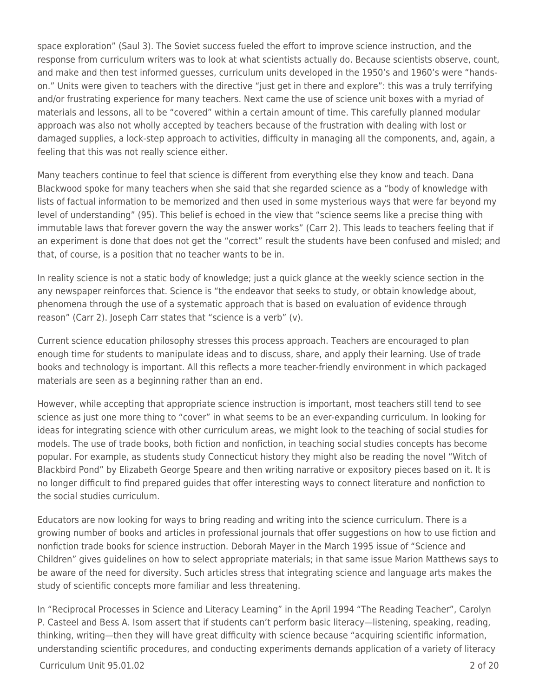space exploration" (Saul 3). The Soviet success fueled the effort to improve science instruction, and the response from curriculum writers was to look at what scientists actually do. Because scientists observe, count, and make and then test informed guesses, curriculum units developed in the 1950's and 1960's were "handson." Units were given to teachers with the directive "just get in there and explore": this was a truly terrifying and/or frustrating experience for many teachers. Next came the use of science unit boxes with a myriad of materials and lessons, all to be "covered" within a certain amount of time. This carefully planned modular approach was also not wholly accepted by teachers because of the frustration with dealing with lost or damaged supplies, a lock-step approach to activities, difficulty in managing all the components, and, again, a feeling that this was not really science either.

Many teachers continue to feel that science is different from everything else they know and teach. Dana Blackwood spoke for many teachers when she said that she regarded science as a "body of knowledge with lists of factual information to be memorized and then used in some mysterious ways that were far beyond my level of understanding" (95). This belief is echoed in the view that "science seems like a precise thing with immutable laws that forever govern the way the answer works" (Carr 2). This leads to teachers feeling that if an experiment is done that does not get the "correct" result the students have been confused and misled; and that, of course, is a position that no teacher wants to be in.

In reality science is not a static body of knowledge; just a quick glance at the weekly science section in the any newspaper reinforces that. Science is "the endeavor that seeks to study, or obtain knowledge about, phenomena through the use of a systematic approach that is based on evaluation of evidence through reason" (Carr 2). Joseph Carr states that "science is a verb" (v).

Current science education philosophy stresses this process approach. Teachers are encouraged to plan enough time for students to manipulate ideas and to discuss, share, and apply their learning. Use of trade books and technology is important. All this reflects a more teacher-friendly environment in which packaged materials are seen as a beginning rather than an end.

However, while accepting that appropriate science instruction is important, most teachers still tend to see science as just one more thing to "cover" in what seems to be an ever-expanding curriculum. In looking for ideas for integrating science with other curriculum areas, we might look to the teaching of social studies for models. The use of trade books, both fiction and nonfiction, in teaching social studies concepts has become popular. For example, as students study Connecticut history they might also be reading the novel "Witch of Blackbird Pond" by Elizabeth George Speare and then writing narrative or expository pieces based on it. It is no longer difficult to find prepared guides that offer interesting ways to connect literature and nonfiction to the social studies curriculum.

Educators are now looking for ways to bring reading and writing into the science curriculum. There is a growing number of books and articles in professional journals that offer suggestions on how to use fiction and nonfiction trade books for science instruction. Deborah Mayer in the March 1995 issue of "Science and Children" gives guidelines on how to select appropriate materials; in that same issue Marion Matthews says to be aware of the need for diversity. Such articles stress that integrating science and language arts makes the study of scientific concepts more familiar and less threatening.

In "Reciprocal Processes in Science and Literacy Learning" in the April 1994 "The Reading Teacher", Carolyn P. Casteel and Bess A. Isom assert that if students can't perform basic literacy—listening, speaking, reading, thinking, writing—then they will have great difficulty with science because "acquiring scientific information, understanding scientific procedures, and conducting experiments demands application of a variety of literacy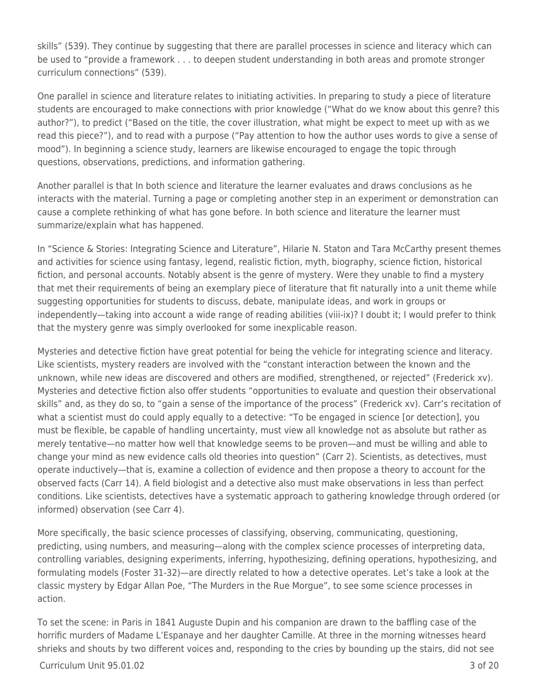skills" (539). They continue by suggesting that there are parallel processes in science and literacy which can be used to "provide a framework . . . to deepen student understanding in both areas and promote stronger curriculum connections" (539).

One parallel in science and literature relates to initiating activities. In preparing to study a piece of literature students are encouraged to make connections with prior knowledge ("What do we know about this genre? this author?"), to predict ("Based on the title, the cover illustration, what might be expect to meet up with as we read this piece?"), and to read with a purpose ("Pay attention to how the author uses words to give a sense of mood"). In beginning a science study, learners are likewise encouraged to engage the topic through questions, observations, predictions, and information gathering.

Another parallel is that In both science and literature the learner evaluates and draws conclusions as he interacts with the material. Turning a page or completing another step in an experiment or demonstration can cause a complete rethinking of what has gone before. In both science and literature the learner must summarize/explain what has happened.

In "Science & Stories: Integrating Science and Literature", Hilarie N. Staton and Tara McCarthy present themes and activities for science using fantasy, legend, realistic fiction, myth, biography, science fiction, historical fiction, and personal accounts. Notably absent is the genre of mystery. Were they unable to find a mystery that met their requirements of being an exemplary piece of literature that fit naturally into a unit theme while suggesting opportunities for students to discuss, debate, manipulate ideas, and work in groups or independently—taking into account a wide range of reading abilities (viii-ix)? I doubt it; I would prefer to think that the mystery genre was simply overlooked for some inexplicable reason.

Mysteries and detective fiction have great potential for being the vehicle for integrating science and literacy. Like scientists, mystery readers are involved with the "constant interaction between the known and the unknown, while new ideas are discovered and others are modified, strengthened, or rejected" (Frederick xv). Mysteries and detective fiction also offer students "opportunities to evaluate and question their observational skills" and, as they do so, to "gain a sense of the importance of the process" (Frederick xv). Carr's recitation of what a scientist must do could apply equally to a detective: "To be engaged in science [or detection], you must be flexible, be capable of handling uncertainty, must view all knowledge not as absolute but rather as merely tentative—no matter how well that knowledge seems to be proven—and must be willing and able to change your mind as new evidence calls old theories into question" (Carr 2). Scientists, as detectives, must operate inductively—that is, examine a collection of evidence and then propose a theory to account for the observed facts (Carr 14). A field biologist and a detective also must make observations in less than perfect conditions. Like scientists, detectives have a systematic approach to gathering knowledge through ordered (or informed) observation (see Carr 4).

More specifically, the basic science processes of classifying, observing, communicating, questioning, predicting, using numbers, and measuring—along with the complex science processes of interpreting data, controlling variables, designing experiments, inferring, hypothesizing, defining operations, hypothesizing, and formulating models (Foster 31-32)—are directly related to how a detective operates. Let's take a look at the classic mystery by Edgar Allan Poe, "The Murders in the Rue Morgue", to see some science processes in action.

To set the scene: in Paris in 1841 Auguste Dupin and his companion are drawn to the baffling case of the horrific murders of Madame L'Espanaye and her daughter Camille. At three in the morning witnesses heard shrieks and shouts by two different voices and, responding to the cries by bounding up the stairs, did not see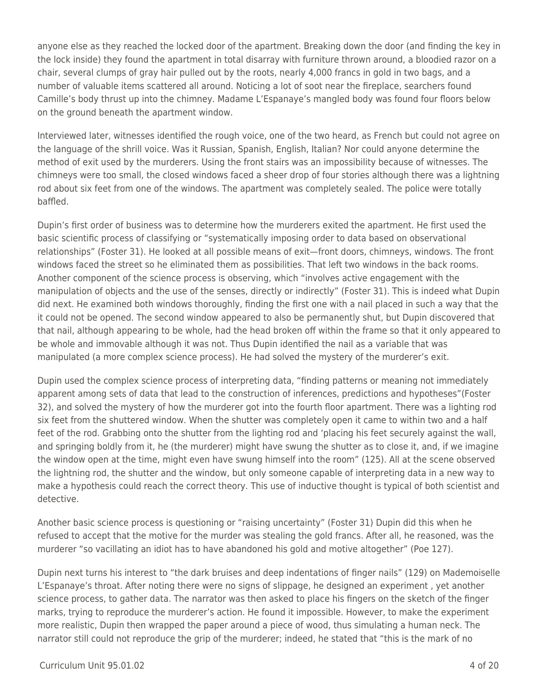anyone else as they reached the locked door of the apartment. Breaking down the door (and finding the key in the lock inside) they found the apartment in total disarray with furniture thrown around, a bloodied razor on a chair, several clumps of gray hair pulled out by the roots, nearly 4,000 francs in gold in two bags, and a number of valuable items scattered all around. Noticing a lot of soot near the fireplace, searchers found Camille's body thrust up into the chimney. Madame L'Espanaye's mangled body was found four floors below on the ground beneath the apartment window.

Interviewed later, witnesses identified the rough voice, one of the two heard, as French but could not agree on the language of the shrill voice. Was it Russian, Spanish, English, Italian? Nor could anyone determine the method of exit used by the murderers. Using the front stairs was an impossibility because of witnesses. The chimneys were too small, the closed windows faced a sheer drop of four stories although there was a lightning rod about six feet from one of the windows. The apartment was completely sealed. The police were totally baffled.

Dupin's first order of business was to determine how the murderers exited the apartment. He first used the basic scientific process of classifying or "systematically imposing order to data based on observational relationships" (Foster 31). He looked at all possible means of exit—front doors, chimneys, windows. The front windows faced the street so he eliminated them as possibilities. That left two windows in the back rooms. Another component of the science process is observing, which "involves active engagement with the manipulation of objects and the use of the senses, directly or indirectly" (Foster 31). This is indeed what Dupin did next. He examined both windows thoroughly, finding the first one with a nail placed in such a way that the it could not be opened. The second window appeared to also be permanently shut, but Dupin discovered that that nail, although appearing to be whole, had the head broken off within the frame so that it only appeared to be whole and immovable although it was not. Thus Dupin identified the nail as a variable that was manipulated (a more complex science process). He had solved the mystery of the murderer's exit.

Dupin used the complex science process of interpreting data, "finding patterns or meaning not immediately apparent among sets of data that lead to the construction of inferences, predictions and hypotheses"(Foster 32), and solved the mystery of how the murderer got into the fourth floor apartment. There was a lighting rod six feet from the shuttered window. When the shutter was completely open it came to within two and a half feet of the rod. Grabbing onto the shutter from the lighting rod and 'placing his feet securely against the wall, and springing boldly from it, he (the murderer) might have swung the shutter as to close it, and, if we imagine the window open at the time, might even have swung himself into the room" (125). All at the scene observed the lightning rod, the shutter and the window, but only someone capable of interpreting data in a new way to make a hypothesis could reach the correct theory. This use of inductive thought is typical of both scientist and detective.

Another basic science process is questioning or "raising uncertainty" (Foster 31) Dupin did this when he refused to accept that the motive for the murder was stealing the gold francs. After all, he reasoned, was the murderer "so vacillating an idiot has to have abandoned his gold and motive altogether" (Poe 127).

Dupin next turns his interest to "the dark bruises and deep indentations of finger nails" (129) on Mademoiselle L'Espanaye's throat. After noting there were no signs of slippage, he designed an experiment , yet another science process, to gather data. The narrator was then asked to place his fingers on the sketch of the finger marks, trying to reproduce the murderer's action. He found it impossible. However, to make the experiment more realistic, Dupin then wrapped the paper around a piece of wood, thus simulating a human neck. The narrator still could not reproduce the grip of the murderer; indeed, he stated that "this is the mark of no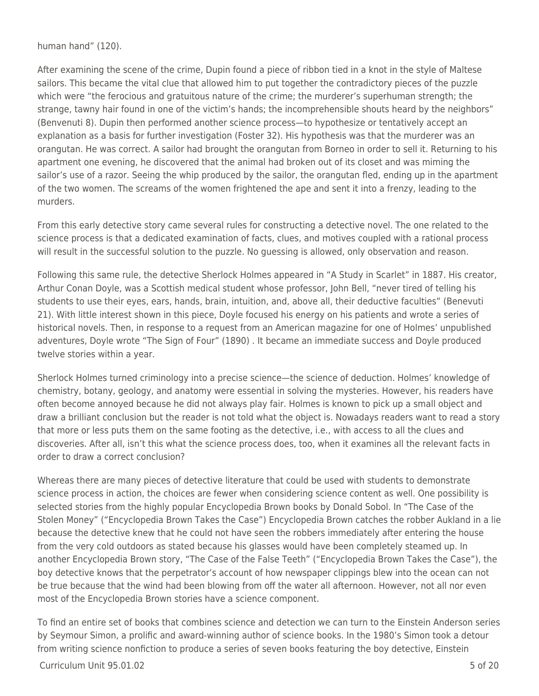human hand" (120).

After examining the scene of the crime, Dupin found a piece of ribbon tied in a knot in the style of Maltese sailors. This became the vital clue that allowed him to put together the contradictory pieces of the puzzle which were "the ferocious and gratuitous nature of the crime; the murderer's superhuman strength; the strange, tawny hair found in one of the victim's hands; the incomprehensible shouts heard by the neighbors" (Benvenuti 8). Dupin then performed another science process—to hypothesize or tentatively accept an explanation as a basis for further investigation (Foster 32). His hypothesis was that the murderer was an orangutan. He was correct. A sailor had brought the orangutan from Borneo in order to sell it. Returning to his apartment one evening, he discovered that the animal had broken out of its closet and was miming the sailor's use of a razor. Seeing the whip produced by the sailor, the orangutan fled, ending up in the apartment of the two women. The screams of the women frightened the ape and sent it into a frenzy, leading to the murders.

From this early detective story came several rules for constructing a detective novel. The one related to the science process is that a dedicated examination of facts, clues, and motives coupled with a rational process will result in the successful solution to the puzzle. No guessing is allowed, only observation and reason.

Following this same rule, the detective Sherlock Holmes appeared in "A Study in Scarlet" in 1887. His creator, Arthur Conan Doyle, was a Scottish medical student whose professor, John Bell, "never tired of telling his students to use their eyes, ears, hands, brain, intuition, and, above all, their deductive faculties" (Benevuti 21). With little interest shown in this piece, Doyle focused his energy on his patients and wrote a series of historical novels. Then, in response to a request from an American magazine for one of Holmes' unpublished adventures, Doyle wrote "The Sign of Four" (1890) . It became an immediate success and Doyle produced twelve stories within a year.

Sherlock Holmes turned criminology into a precise science—the science of deduction. Holmes' knowledge of chemistry, botany, geology, and anatomy were essential in solving the mysteries. However, his readers have often become annoyed because he did not always play fair. Holmes is known to pick up a small object and draw a brilliant conclusion but the reader is not told what the object is. Nowadays readers want to read a story that more or less puts them on the same footing as the detective, i.e., with access to all the clues and discoveries. After all, isn't this what the science process does, too, when it examines all the relevant facts in order to draw a correct conclusion?

Whereas there are many pieces of detective literature that could be used with students to demonstrate science process in action, the choices are fewer when considering science content as well. One possibility is selected stories from the highly popular Encyclopedia Brown books by Donald Sobol. In "The Case of the Stolen Money" ("Encyclopedia Brown Takes the Case") Encyclopedia Brown catches the robber Aukland in a lie because the detective knew that he could not have seen the robbers immediately after entering the house from the very cold outdoors as stated because his glasses would have been completely steamed up. In another Encyclopedia Brown story, "The Case of the False Teeth" ("Encyclopedia Brown Takes the Case"), the boy detective knows that the perpetrator's account of how newspaper clippings blew into the ocean can not be true because that the wind had been blowing from off the water all afternoon. However, not all nor even most of the Encyclopedia Brown stories have a science component.

To find an entire set of books that combines science and detection we can turn to the Einstein Anderson series by Seymour Simon, a prolific and award-winning author of science books. In the 1980's Simon took a detour from writing science nonfiction to produce a series of seven books featuring the boy detective, Einstein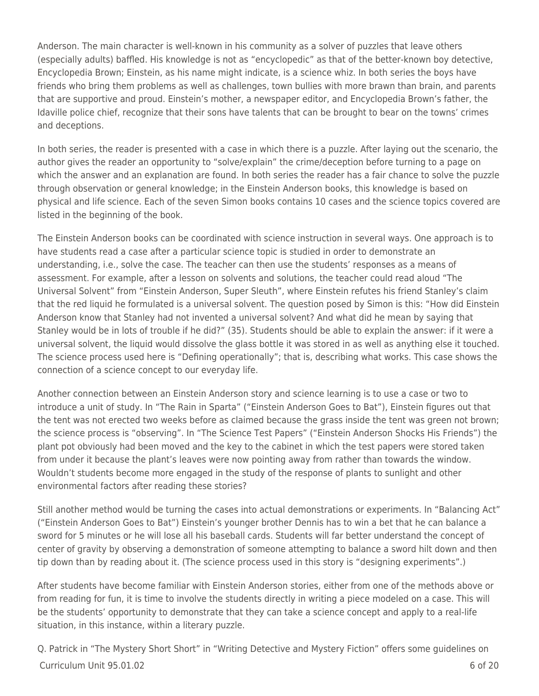Anderson. The main character is well-known in his community as a solver of puzzles that leave others (especially adults) baffled. His knowledge is not as "encyclopedic" as that of the better-known boy detective, Encyclopedia Brown; Einstein, as his name might indicate, is a science whiz. In both series the boys have friends who bring them problems as well as challenges, town bullies with more brawn than brain, and parents that are supportive and proud. Einstein's mother, a newspaper editor, and Encyclopedia Brown's father, the Idaville police chief, recognize that their sons have talents that can be brought to bear on the towns' crimes and deceptions.

In both series, the reader is presented with a case in which there is a puzzle. After laying out the scenario, the author gives the reader an opportunity to "solve/explain" the crime/deception before turning to a page on which the answer and an explanation are found. In both series the reader has a fair chance to solve the puzzle through observation or general knowledge; in the Einstein Anderson books, this knowledge is based on physical and life science. Each of the seven Simon books contains 10 cases and the science topics covered are listed in the beginning of the book.

The Einstein Anderson books can be coordinated with science instruction in several ways. One approach is to have students read a case after a particular science topic is studied in order to demonstrate an understanding, i.e., solve the case. The teacher can then use the students' responses as a means of assessment. For example, after a lesson on solvents and solutions, the teacher could read aloud "The Universal Solvent" from "Einstein Anderson, Super Sleuth", where Einstein refutes his friend Stanley's claim that the red liquid he formulated is a universal solvent. The question posed by Simon is this: "How did Einstein Anderson know that Stanley had not invented a universal solvent? And what did he mean by saying that Stanley would be in lots of trouble if he did?" (35). Students should be able to explain the answer: if it were a universal solvent, the liquid would dissolve the glass bottle it was stored in as well as anything else it touched. The science process used here is "Defining operationally"; that is, describing what works. This case shows the connection of a science concept to our everyday life.

Another connection between an Einstein Anderson story and science learning is to use a case or two to introduce a unit of study. In "The Rain in Sparta" ("Einstein Anderson Goes to Bat"), Einstein figures out that the tent was not erected two weeks before as claimed because the grass inside the tent was green not brown; the science process is "observing". In "The Science Test Papers" ("Einstein Anderson Shocks His Friends") the plant pot obviously had been moved and the key to the cabinet in which the test papers were stored taken from under it because the plant's leaves were now pointing away from rather than towards the window. Wouldn't students become more engaged in the study of the response of plants to sunlight and other environmental factors after reading these stories?

Still another method would be turning the cases into actual demonstrations or experiments. In "Balancing Act" ("Einstein Anderson Goes to Bat") Einstein's younger brother Dennis has to win a bet that he can balance a sword for 5 minutes or he will lose all his baseball cards. Students will far better understand the concept of center of gravity by observing a demonstration of someone attempting to balance a sword hilt down and then tip down than by reading about it. (The science process used in this story is "designing experiments".)

After students have become familiar with Einstein Anderson stories, either from one of the methods above or from reading for fun, it is time to involve the students directly in writing a piece modeled on a case. This will be the students' opportunity to demonstrate that they can take a science concept and apply to a real-life situation, in this instance, within a literary puzzle.

 $Curir$  Unit 95.01.02 6 of 20 Q. Patrick in "The Mystery Short Short" in "Writing Detective and Mystery Fiction" offers some guidelines on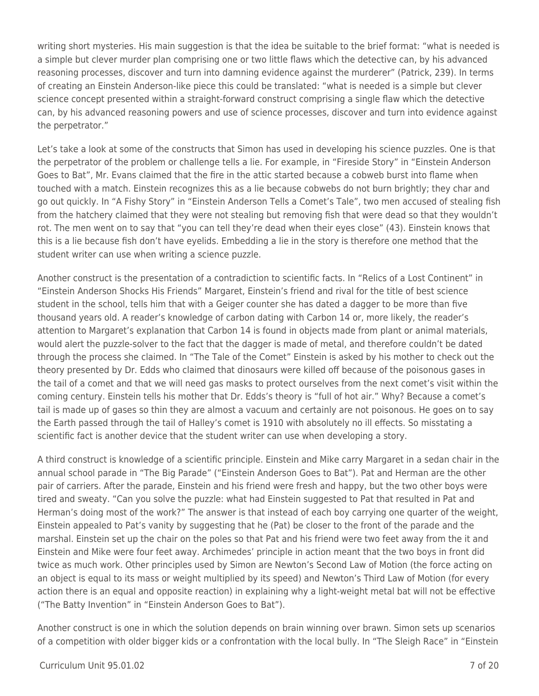writing short mysteries. His main suggestion is that the idea be suitable to the brief format: "what is needed is a simple but clever murder plan comprising one or two little flaws which the detective can, by his advanced reasoning processes, discover and turn into damning evidence against the murderer" (Patrick, 239). In terms of creating an Einstein Anderson-like piece this could be translated: "what is needed is a simple but clever science concept presented within a straight-forward construct comprising a single flaw which the detective can, by his advanced reasoning powers and use of science processes, discover and turn into evidence against the perpetrator."

Let's take a look at some of the constructs that Simon has used in developing his science puzzles. One is that the perpetrator of the problem or challenge tells a lie. For example, in "Fireside Story" in "Einstein Anderson Goes to Bat", Mr. Evans claimed that the fire in the attic started because a cobweb burst into flame when touched with a match. Einstein recognizes this as a lie because cobwebs do not burn brightly; they char and go out quickly. In "A Fishy Story" in "Einstein Anderson Tells a Comet's Tale", two men accused of stealing fish from the hatchery claimed that they were not stealing but removing fish that were dead so that they wouldn't rot. The men went on to say that "you can tell they're dead when their eyes close" (43). Einstein knows that this is a lie because fish don't have eyelids. Embedding a lie in the story is therefore one method that the student writer can use when writing a science puzzle.

Another construct is the presentation of a contradiction to scientific facts. In "Relics of a Lost Continent" in "Einstein Anderson Shocks His Friends" Margaret, Einstein's friend and rival for the title of best science student in the school, tells him that with a Geiger counter she has dated a dagger to be more than five thousand years old. A reader's knowledge of carbon dating with Carbon 14 or, more likely, the reader's attention to Margaret's explanation that Carbon 14 is found in objects made from plant or animal materials, would alert the puzzle-solver to the fact that the dagger is made of metal, and therefore couldn't be dated through the process she claimed. In "The Tale of the Comet" Einstein is asked by his mother to check out the theory presented by Dr. Edds who claimed that dinosaurs were killed off because of the poisonous gases in the tail of a comet and that we will need gas masks to protect ourselves from the next comet's visit within the coming century. Einstein tells his mother that Dr. Edds's theory is "full of hot air." Why? Because a comet's tail is made up of gases so thin they are almost a vacuum and certainly are not poisonous. He goes on to say the Earth passed through the tail of Halley's comet is 1910 with absolutely no ill effects. So misstating a scientific fact is another device that the student writer can use when developing a story.

A third construct is knowledge of a scientific principle. Einstein and Mike carry Margaret in a sedan chair in the annual school parade in "The Big Parade" ("Einstein Anderson Goes to Bat"). Pat and Herman are the other pair of carriers. After the parade, Einstein and his friend were fresh and happy, but the two other boys were tired and sweaty. "Can you solve the puzzle: what had Einstein suggested to Pat that resulted in Pat and Herman's doing most of the work?" The answer is that instead of each boy carrying one quarter of the weight, Einstein appealed to Pat's vanity by suggesting that he (Pat) be closer to the front of the parade and the marshal. Einstein set up the chair on the poles so that Pat and his friend were two feet away from the it and Einstein and Mike were four feet away. Archimedes' principle in action meant that the two boys in front did twice as much work. Other principles used by Simon are Newton's Second Law of Motion (the force acting on an object is equal to its mass or weight multiplied by its speed) and Newton's Third Law of Motion (for every action there is an equal and opposite reaction) in explaining why a light-weight metal bat will not be effective ("The Batty Invention" in "Einstein Anderson Goes to Bat").

Another construct is one in which the solution depends on brain winning over brawn. Simon sets up scenarios of a competition with older bigger kids or a confrontation with the local bully. In "The Sleigh Race" in "Einstein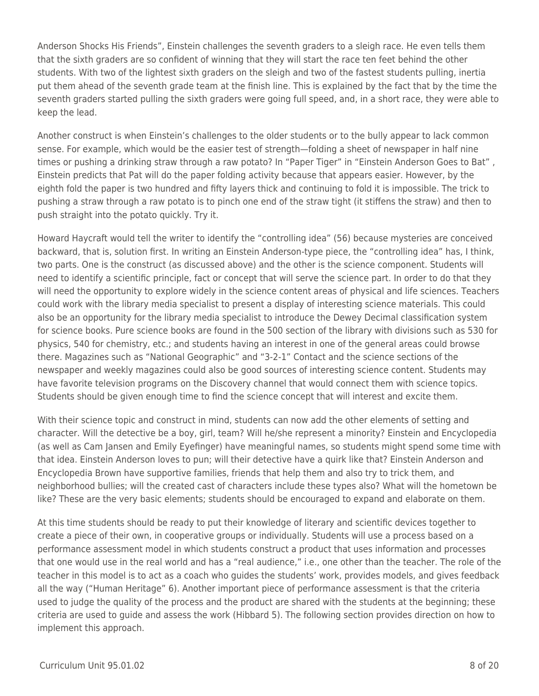Anderson Shocks His Friends", Einstein challenges the seventh graders to a sleigh race. He even tells them that the sixth graders are so confident of winning that they will start the race ten feet behind the other students. With two of the lightest sixth graders on the sleigh and two of the fastest students pulling, inertia put them ahead of the seventh grade team at the finish line. This is explained by the fact that by the time the seventh graders started pulling the sixth graders were going full speed, and, in a short race, they were able to keep the lead.

Another construct is when Einstein's challenges to the older students or to the bully appear to lack common sense. For example, which would be the easier test of strength—folding a sheet of newspaper in half nine times or pushing a drinking straw through a raw potato? In "Paper Tiger" in "Einstein Anderson Goes to Bat" , Einstein predicts that Pat will do the paper folding activity because that appears easier. However, by the eighth fold the paper is two hundred and fifty layers thick and continuing to fold it is impossible. The trick to pushing a straw through a raw potato is to pinch one end of the straw tight (it stiffens the straw) and then to push straight into the potato quickly. Try it.

Howard Haycraft would tell the writer to identify the "controlling idea" (56) because mysteries are conceived backward, that is, solution first. In writing an Einstein Anderson-type piece, the "controlling idea" has, I think, two parts. One is the construct (as discussed above) and the other is the science component. Students will need to identify a scientific principle, fact or concept that will serve the science part. In order to do that they will need the opportunity to explore widely in the science content areas of physical and life sciences. Teachers could work with the library media specialist to present a display of interesting science materials. This could also be an opportunity for the library media specialist to introduce the Dewey Decimal classification system for science books. Pure science books are found in the 500 section of the library with divisions such as 530 for physics, 540 for chemistry, etc.; and students having an interest in one of the general areas could browse there. Magazines such as "National Geographic" and "3-2-1" Contact and the science sections of the newspaper and weekly magazines could also be good sources of interesting science content. Students may have favorite television programs on the Discovery channel that would connect them with science topics. Students should be given enough time to find the science concept that will interest and excite them.

With their science topic and construct in mind, students can now add the other elements of setting and character. Will the detective be a boy, girl, team? Will he/she represent a minority? Einstein and Encyclopedia (as well as Cam Jansen and Emily Eyefinger) have meaningful names, so students might spend some time with that idea. Einstein Anderson loves to pun; will their detective have a quirk like that? Einstein Anderson and Encyclopedia Brown have supportive families, friends that help them and also try to trick them, and neighborhood bullies; will the created cast of characters include these types also? What will the hometown be like? These are the very basic elements; students should be encouraged to expand and elaborate on them.

At this time students should be ready to put their knowledge of literary and scientific devices together to create a piece of their own, in cooperative groups or individually. Students will use a process based on a performance assessment model in which students construct a product that uses information and processes that one would use in the real world and has a "real audience," i.e., one other than the teacher. The role of the teacher in this model is to act as a coach who guides the students' work, provides models, and gives feedback all the way ("Human Heritage" 6). Another important piece of performance assessment is that the criteria used to judge the quality of the process and the product are shared with the students at the beginning; these criteria are used to guide and assess the work (Hibbard 5). The following section provides direction on how to implement this approach.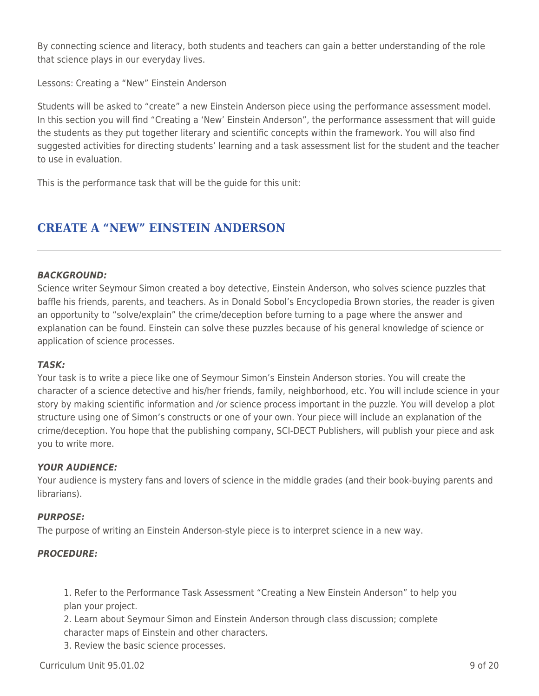By connecting science and literacy, both students and teachers can gain a better understanding of the role that science plays in our everyday lives.

Lessons: Creating a "New" Einstein Anderson

Students will be asked to "create" a new Einstein Anderson piece using the performance assessment model. In this section you will find "Creating a 'New' Einstein Anderson", the performance assessment that will guide the students as they put together literary and scientific concepts within the framework. You will also find suggested activities for directing students' learning and a task assessment list for the student and the teacher to use in evaluation.

This is the performance task that will be the guide for this unit:

# **CREATE A "NEW" EINSTEIN ANDERSON**

#### *BACKGROUND:*

Science writer Seymour Simon created a boy detective, Einstein Anderson, who solves science puzzles that baffle his friends, parents, and teachers. As in Donald Sobol's Encyclopedia Brown stories, the reader is given an opportunity to "solve/explain" the crime/deception before turning to a page where the answer and explanation can be found. Einstein can solve these puzzles because of his general knowledge of science or application of science processes.

#### *TASK:*

Your task is to write a piece like one of Seymour Simon's Einstein Anderson stories. You will create the character of a science detective and his/her friends, family, neighborhood, etc. You will include science in your story by making scientific information and /or science process important in the puzzle. You will develop a plot structure using one of Simon's constructs or one of your own. Your piece will include an explanation of the crime/deception. You hope that the publishing company, SCI-DECT Publishers, will publish your piece and ask you to write more.

#### *YOUR AUDIENCE:*

Your audience is mystery fans and lovers of science in the middle grades (and their book-buying parents and librarians).

#### *PURPOSE:*

The purpose of writing an Einstein Anderson-style piece is to interpret science in a new way.

#### *PROCEDURE:*

1. Refer to the Performance Task Assessment "Creating a New Einstein Anderson" to help you plan your project.

2. Learn about Seymour Simon and Einstein Anderson through class discussion; complete character maps of Einstein and other characters.

3. Review the basic science processes.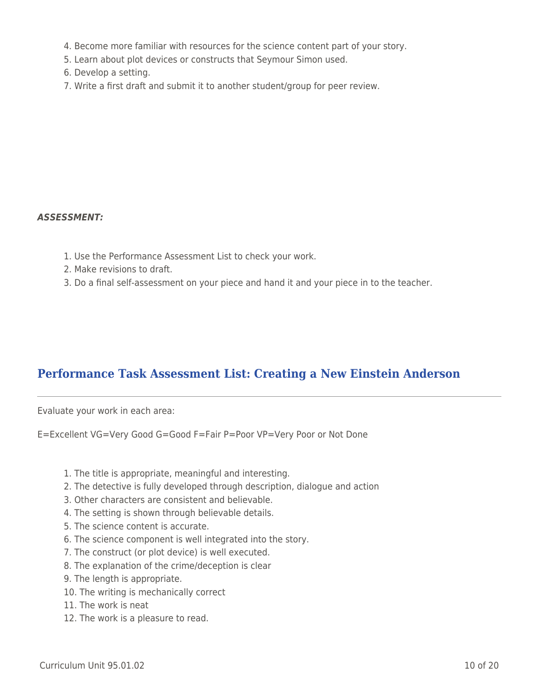- 4. Become more familiar with resources for the science content part of your story.
- 5. Learn about plot devices or constructs that Seymour Simon used.
- 6. Develop a setting.
- 7. Write a first draft and submit it to another student/group for peer review.

#### *ASSESSMENT:*

- 1. Use the Performance Assessment List to check your work.
- 2. Make revisions to draft.
- 3. Do a final self-assessment on your piece and hand it and your piece in to the teacher.

# **Performance Task Assessment List: Creating a New Einstein Anderson**

Evaluate your work in each area:

E=Excellent VG=Very Good G=Good F=Fair P=Poor VP=Very Poor or Not Done

- 1. The title is appropriate, meaningful and interesting.
- 2. The detective is fully developed through description, dialogue and action
- 3. Other characters are consistent and believable.
- 4. The setting is shown through believable details.
- 5. The science content is accurate.
- 6. The science component is well integrated into the story.
- 7. The construct (or plot device) is well executed.
- 8. The explanation of the crime/deception is clear
- 9. The length is appropriate.
- 10. The writing is mechanically correct
- 11. The work is neat
- 12. The work is a pleasure to read.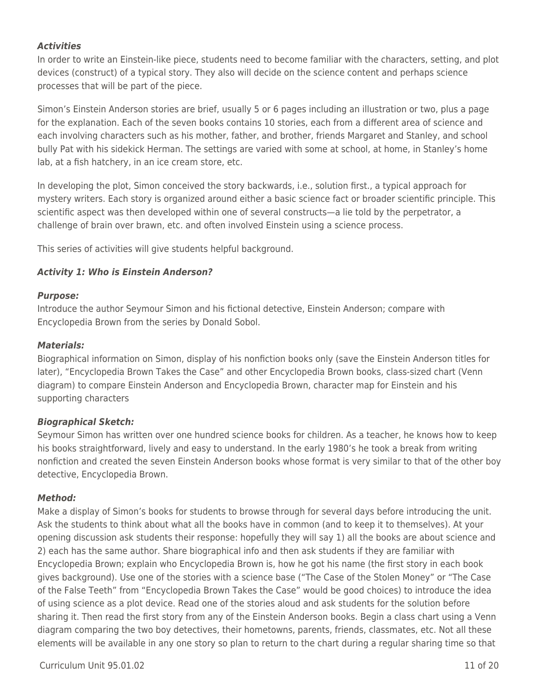### *Activities*

In order to write an Einstein-like piece, students need to become familiar with the characters, setting, and plot devices (construct) of a typical story. They also will decide on the science content and perhaps science processes that will be part of the piece.

Simon's Einstein Anderson stories are brief, usually 5 or 6 pages including an illustration or two, plus a page for the explanation. Each of the seven books contains 10 stories, each from a different area of science and each involving characters such as his mother, father, and brother, friends Margaret and Stanley, and school bully Pat with his sidekick Herman. The settings are varied with some at school, at home, in Stanley's home lab, at a fish hatchery, in an ice cream store, etc.

In developing the plot, Simon conceived the story backwards, i.e., solution first., a typical approach for mystery writers. Each story is organized around either a basic science fact or broader scientific principle. This scientific aspect was then developed within one of several constructs—a lie told by the perpetrator, a challenge of brain over brawn, etc. and often involved Einstein using a science process.

This series of activities will give students helpful background.

### *Activity 1: Who is Einstein Anderson?*

#### *Purpose:*

Introduce the author Seymour Simon and his fictional detective, Einstein Anderson; compare with Encyclopedia Brown from the series by Donald Sobol.

#### *Materials:*

Biographical information on Simon, display of his nonfiction books only (save the Einstein Anderson titles for later), "Encyclopedia Brown Takes the Case" and other Encyclopedia Brown books, class-sized chart (Venn diagram) to compare Einstein Anderson and Encyclopedia Brown, character map for Einstein and his supporting characters

### *Biographical Sketch:*

Seymour Simon has written over one hundred science books for children. As a teacher, he knows how to keep his books straightforward, lively and easy to understand. In the early 1980's he took a break from writing nonfiction and created the seven Einstein Anderson books whose format is very similar to that of the other boy detective, Encyclopedia Brown.

#### *Method:*

Make a display of Simon's books for students to browse through for several days before introducing the unit. Ask the students to think about what all the books have in common (and to keep it to themselves). At your opening discussion ask students their response: hopefully they will say 1) all the books are about science and 2) each has the same author. Share biographical info and then ask students if they are familiar with Encyclopedia Brown; explain who Encyclopedia Brown is, how he got his name (the first story in each book gives background). Use one of the stories with a science base ("The Case of the Stolen Money" or "The Case of the False Teeth" from "Encyclopedia Brown Takes the Case" would be good choices) to introduce the idea of using science as a plot device. Read one of the stories aloud and ask students for the solution before sharing it. Then read the first story from any of the Einstein Anderson books. Begin a class chart using a Venn diagram comparing the two boy detectives, their hometowns, parents, friends, classmates, etc. Not all these elements will be available in any one story so plan to return to the chart during a regular sharing time so that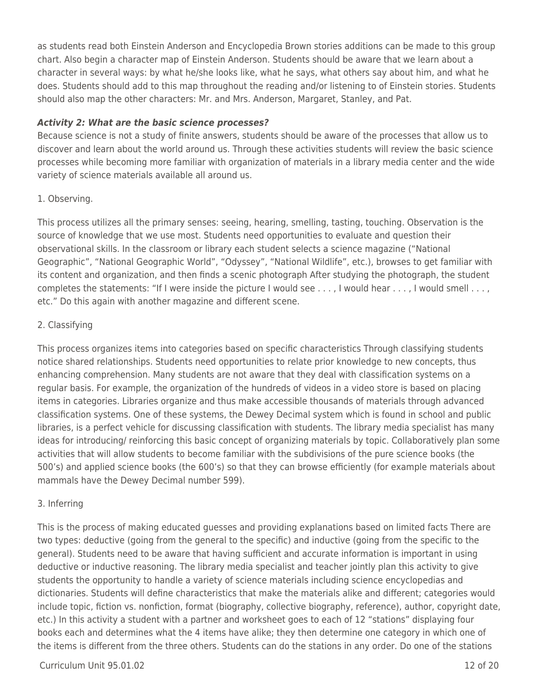as students read both Einstein Anderson and Encyclopedia Brown stories additions can be made to this group chart. Also begin a character map of Einstein Anderson. Students should be aware that we learn about a character in several ways: by what he/she looks like, what he says, what others say about him, and what he does. Students should add to this map throughout the reading and/or listening to of Einstein stories. Students should also map the other characters: Mr. and Mrs. Anderson, Margaret, Stanley, and Pat.

### *Activity 2: What are the basic science processes?*

Because science is not a study of finite answers, students should be aware of the processes that allow us to discover and learn about the world around us. Through these activities students will review the basic science processes while becoming more familiar with organization of materials in a library media center and the wide variety of science materials available all around us.

### 1. Observing.

This process utilizes all the primary senses: seeing, hearing, smelling, tasting, touching. Observation is the source of knowledge that we use most. Students need opportunities to evaluate and question their observational skills. In the classroom or library each student selects a science magazine ("National Geographic", "National Geographic World", "Odyssey", "National Wildlife", etc.), browses to get familiar with its content and organization, and then finds a scenic photograph After studying the photograph, the student completes the statements: "If I were inside the picture I would see . . . , I would hear . . . , I would smell . . . , etc." Do this again with another magazine and different scene.

### 2. Classifying

This process organizes items into categories based on specific characteristics Through classifying students notice shared relationships. Students need opportunities to relate prior knowledge to new concepts, thus enhancing comprehension. Many students are not aware that they deal with classification systems on a regular basis. For example, the organization of the hundreds of videos in a video store is based on placing items in categories. Libraries organize and thus make accessible thousands of materials through advanced classification systems. One of these systems, the Dewey Decimal system which is found in school and public libraries, is a perfect vehicle for discussing classification with students. The library media specialist has many ideas for introducing/ reinforcing this basic concept of organizing materials by topic. Collaboratively plan some activities that will allow students to become familiar with the subdivisions of the pure science books (the 500's) and applied science books (the 600's) so that they can browse efficiently (for example materials about mammals have the Dewey Decimal number 599).

### 3. Inferring

This is the process of making educated guesses and providing explanations based on limited facts There are two types: deductive (going from the general to the specific) and inductive (going from the specific to the general). Students need to be aware that having sufficient and accurate information is important in using deductive or inductive reasoning. The library media specialist and teacher jointly plan this activity to give students the opportunity to handle a variety of science materials including science encyclopedias and dictionaries. Students will define characteristics that make the materials alike and different; categories would include topic, fiction vs. nonfiction, format (biography, collective biography, reference), author, copyright date, etc.) In this activity a student with a partner and worksheet goes to each of 12 "stations" displaying four books each and determines what the 4 items have alike; they then determine one category in which one of the items is different from the three others. Students can do the stations in any order. Do one of the stations

### Curriculum Unit 95.01.02 12 of 20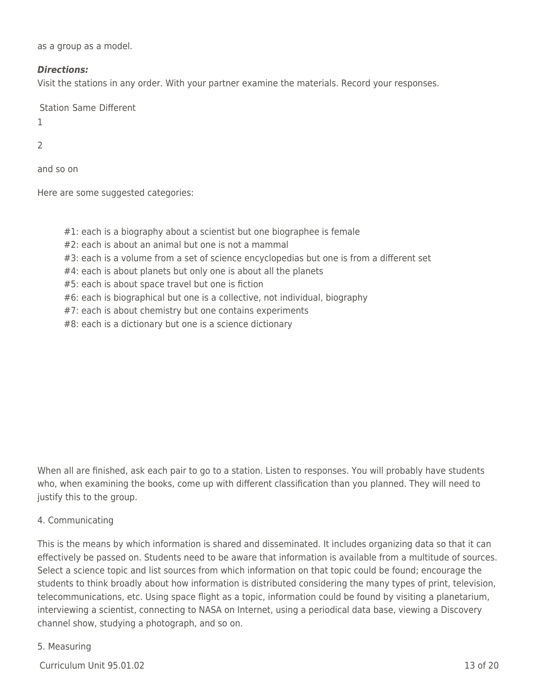as a group as a model.

#### *Directions:*

Visit the stations in any order. With your partner examine the materials. Record your responses.

Station Same Different

1

### 2

and so on

Here are some suggested categories:

#1: each is a biography about a scientist but one biographee is female

#2: each is about an animal but one is not a mammal

#3: each is a volume from a set of science encyclopedias but one is from a different set

#4: each is about planets but only one is about all the planets

#5: each is about space travel but one is fiction

#6: each is biographical but one is a collective, not individual, biography

#7: each is about chemistry but one contains experiments

#8: each is a dictionary but one is a science dictionary

When all are finished, ask each pair to go to a station. Listen to responses. You will probably have students who, when examining the books, come up with different classification than you planned. They will need to justify this to the group.

#### 4. Communicating

This is the means by which information is shared and disseminated. It includes organizing data so that it can effectively be passed on. Students need to be aware that information is available from a multitude of sources. Select a science topic and list sources from which information on that topic could be found; encourage the students to think broadly about how information is distributed considering the many types of print, television, telecommunications, etc. Using space flight as a topic, information could be found by visiting a planetarium, interviewing a scientist, connecting to NASA on Internet, using a periodical data base, viewing a Discovery channel show, studying a photograph, and so on.

#### 5. Measuring

 $C$ urriculum Unit 95.01.02 13 of 20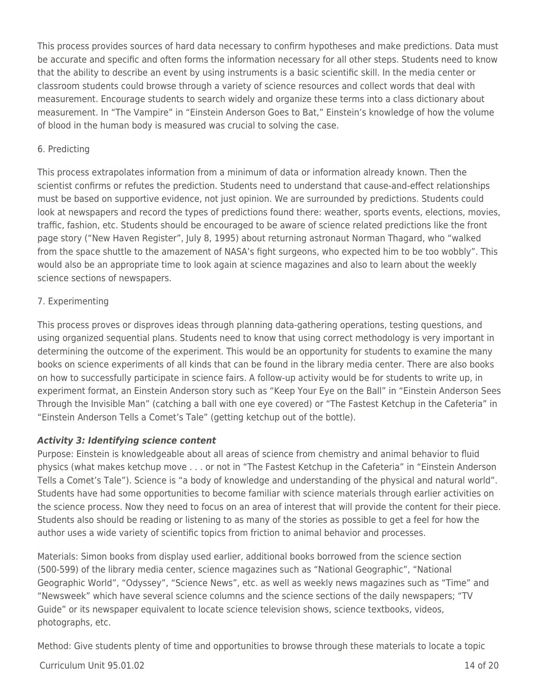This process provides sources of hard data necessary to confirm hypotheses and make predictions. Data must be accurate and specific and often forms the information necessary for all other steps. Students need to know that the ability to describe an event by using instruments is a basic scientific skill. In the media center or classroom students could browse through a variety of science resources and collect words that deal with measurement. Encourage students to search widely and organize these terms into a class dictionary about measurement. In "The Vampire" in "Einstein Anderson Goes to Bat," Einstein's knowledge of how the volume of blood in the human body is measured was crucial to solving the case.

#### 6. Predicting

This process extrapolates information from a minimum of data or information already known. Then the scientist confirms or refutes the prediction. Students need to understand that cause-and-effect relationships must be based on supportive evidence, not just opinion. We are surrounded by predictions. Students could look at newspapers and record the types of predictions found there: weather, sports events, elections, movies, traffic, fashion, etc. Students should be encouraged to be aware of science related predictions like the front page story ("New Haven Register", July 8, 1995) about returning astronaut Norman Thagard, who "walked from the space shuttle to the amazement of NASA's fight surgeons, who expected him to be too wobbly". This would also be an appropriate time to look again at science magazines and also to learn about the weekly science sections of newspapers.

### 7. Experimenting

This process proves or disproves ideas through planning data-gathering operations, testing questions, and using organized sequential plans. Students need to know that using correct methodology is very important in determining the outcome of the experiment. This would be an opportunity for students to examine the many books on science experiments of all kinds that can be found in the library media center. There are also books on how to successfully participate in science fairs. A follow-up activity would be for students to write up, in experiment format, an Einstein Anderson story such as "Keep Your Eye on the Ball" in "Einstein Anderson Sees Through the Invisible Man" (catching a ball with one eye covered) or "The Fastest Ketchup in the Cafeteria" in "Einstein Anderson Tells a Comet's Tale" (getting ketchup out of the bottle).

### *Activity 3: Identifying science content*

Purpose: Einstein is knowledgeable about all areas of science from chemistry and animal behavior to fluid physics (what makes ketchup move . . . or not in "The Fastest Ketchup in the Cafeteria" in "Einstein Anderson Tells a Comet's Tale"). Science is "a body of knowledge and understanding of the physical and natural world". Students have had some opportunities to become familiar with science materials through earlier activities on the science process. Now they need to focus on an area of interest that will provide the content for their piece. Students also should be reading or listening to as many of the stories as possible to get a feel for how the author uses a wide variety of scientific topics from friction to animal behavior and processes.

Materials: Simon books from display used earlier, additional books borrowed from the science section (500-599) of the library media center, science magazines such as "National Geographic", "National Geographic World", "Odyssey", "Science News", etc. as well as weekly news magazines such as "Time" and "Newsweek" which have several science columns and the science sections of the daily newspapers; "TV Guide" or its newspaper equivalent to locate science television shows, science textbooks, videos, photographs, etc.

Method: Give students plenty of time and opportunities to browse through these materials to locate a topic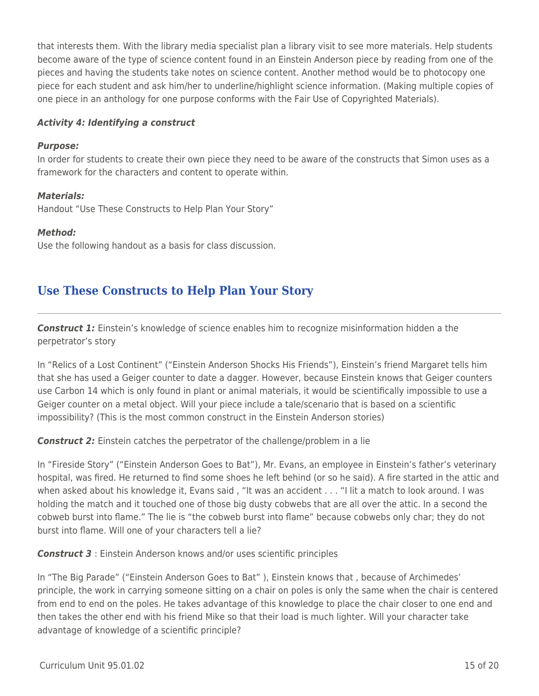that interests them. With the library media specialist plan a library visit to see more materials. Help students become aware of the type of science content found in an Einstein Anderson piece by reading from one of the pieces and having the students take notes on science content. Another method would be to photocopy one piece for each student and ask him/her to underline/highlight science information. (Making multiple copies of one piece in an anthology for one purpose conforms with the Fair Use of Copyrighted Materials).

#### *Activity 4: Identifying a construct*

#### *Purpose:*

In order for students to create their own piece they need to be aware of the constructs that Simon uses as a framework for the characters and content to operate within.

#### *Materials:*

Handout "Use These Constructs to Help Plan Your Story"

#### *Method:*

Use the following handout as a basis for class discussion.

# **Use These Constructs to Help Plan Your Story**

*Construct 1:* Einstein's knowledge of science enables him to recognize misinformation hidden a the perpetrator's story

In "Relics of a Lost Continent" ("Einstein Anderson Shocks His Friends"), Einstein's friend Margaret tells him that she has used a Geiger counter to date a dagger. However, because Einstein knows that Geiger counters use Carbon 14 which is only found in plant or animal materials, it would be scientifically impossible to use a Geiger counter on a metal object. Will your piece include a tale/scenario that is based on a scientific impossibility? (This is the most common construct in the Einstein Anderson stories)

**Construct 2:** Einstein catches the perpetrator of the challenge/problem in a lie

In "Fireside Story" ("Einstein Anderson Goes to Bat"), Mr. Evans, an employee in Einstein's father's veterinary hospital, was fired. He returned to find some shoes he left behind (or so he said). A fire started in the attic and when asked about his knowledge it, Evans said , "It was an accident . . . "I lit a match to look around. I was holding the match and it touched one of those big dusty cobwebs that are all over the attic. In a second the cobweb burst into flame." The lie is "the cobweb burst into flame" because cobwebs only char; they do not burst into flame. Will one of your characters tell a lie?

*Construct 3* : Einstein Anderson knows and/or uses scientific principles

In "The Big Parade" ("Einstein Anderson Goes to Bat" ), Einstein knows that , because of Archimedes' principle, the work in carrying someone sitting on a chair on poles is only the same when the chair is centered from end to end on the poles. He takes advantage of this knowledge to place the chair closer to one end and then takes the other end with his friend Mike so that their load is much lighter. Will your character take advantage of knowledge of a scientific principle?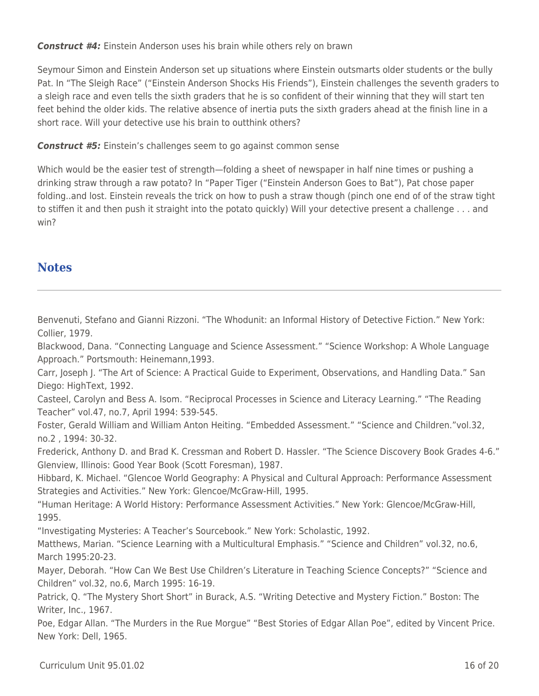*Construct #4:* Einstein Anderson uses his brain while others rely on brawn

Seymour Simon and Einstein Anderson set up situations where Einstein outsmarts older students or the bully Pat. In "The Sleigh Race" ("Einstein Anderson Shocks His Friends"), Einstein challenges the seventh graders to a sleigh race and even tells the sixth graders that he is so confident of their winning that they will start ten feet behind the older kids. The relative absence of inertia puts the sixth graders ahead at the finish line in a short race. Will your detective use his brain to outthink others?

*Construct #5:* Einstein's challenges seem to go against common sense

Which would be the easier test of strength—folding a sheet of newspaper in half nine times or pushing a drinking straw through a raw potato? In "Paper Tiger ("Einstein Anderson Goes to Bat"), Pat chose paper folding..and lost. Einstein reveals the trick on how to push a straw though (pinch one end of of the straw tight to stiffen it and then push it straight into the potato quickly) Will your detective present a challenge . . . and win?

# **Notes**

Benvenuti, Stefano and Gianni Rizzoni. "The Whodunit: an Informal History of Detective Fiction." New York: Collier, 1979.

Blackwood, Dana. "Connecting Language and Science Assessment." "Science Workshop: A Whole Language Approach." Portsmouth: Heinemann,1993.

Carr, Joseph J. "The Art of Science: A Practical Guide to Experiment, Observations, and Handling Data." San Diego: HighText, 1992.

Casteel, Carolyn and Bess A. Isom. "Reciprocal Processes in Science and Literacy Learning." "The Reading Teacher" vol.47, no.7, April 1994: 539-545.

Foster, Gerald William and William Anton Heiting. "Embedded Assessment." "Science and Children."vol.32, no.2 , 1994: 30-32.

Frederick, Anthony D. and Brad K. Cressman and Robert D. Hassler. "The Science Discovery Book Grades 4-6." Glenview, Illinois: Good Year Book (Scott Foresman), 1987.

Hibbard, K. Michael. "Glencoe World Geography: A Physical and Cultural Approach: Performance Assessment Strategies and Activities." New York: Glencoe/McGraw-Hill, 1995.

"Human Heritage: A World History: Performance Assessment Activities." New York: Glencoe/McGraw-Hill, 1995.

"Investigating Mysteries: A Teacher's Sourcebook." New York: Scholastic, 1992.

Matthews, Marian. "Science Learning with a Multicultural Emphasis." "Science and Children" vol.32, no.6, March 1995:20-23.

Mayer, Deborah. "How Can We Best Use Children's Literature in Teaching Science Concepts?" "Science and Children" vol.32, no.6, March 1995: 16-19.

Patrick, Q. "The Mystery Short Short" in Burack, A.S. "Writing Detective and Mystery Fiction." Boston: The Writer, Inc., 1967.

Poe, Edgar Allan. "The Murders in the Rue Morgue" "Best Stories of Edgar Allan Poe", edited by Vincent Price. New York: Dell, 1965.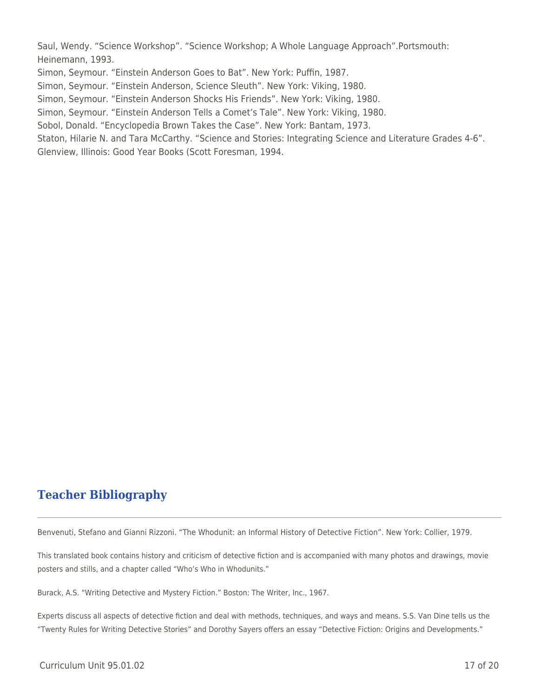Saul, Wendy. "Science Workshop". "Science Workshop; A Whole Language Approach".Portsmouth: Heinemann, 1993.

Simon, Seymour. "Einstein Anderson Goes to Bat". New York: Puffin, 1987.

Simon, Seymour. "Einstein Anderson, Science Sleuth". New York: Viking, 1980.

Simon, Seymour. "Einstein Anderson Shocks His Friends". New York: Viking, 1980.

Simon, Seymour. "Einstein Anderson Tells a Comet's Tale". New York: Viking, 1980.

Sobol, Donald. "Encyclopedia Brown Takes the Case". New York: Bantam, 1973.

Staton, Hilarie N. and Tara McCarthy. "Science and Stories: Integrating Science and Literature Grades 4-6". Glenview, Illinois: Good Year Books (Scott Foresman, 1994.

# **Teacher Bibliography**

Benvenuti, Stefano and Gianni Rizzoni. "The Whodunit: an Informal History of Detective Fiction". New York: Collier, 1979.

This translated book contains history and criticism of detective fiction and is accompanied with many photos and drawings, movie posters and stills, and a chapter called "Who's Who in Whodunits."

Burack, A.S. "Writing Detective and Mystery Fiction." Boston: The Writer, Inc., 1967.

Experts discuss all aspects of detective fiction and deal with methods, techniques, and ways and means. S.S. Van Dine tells us the "Twenty Rules for Writing Detective Stories" and Dorothy Sayers offers an essay "Detective Fiction: Origins and Developments."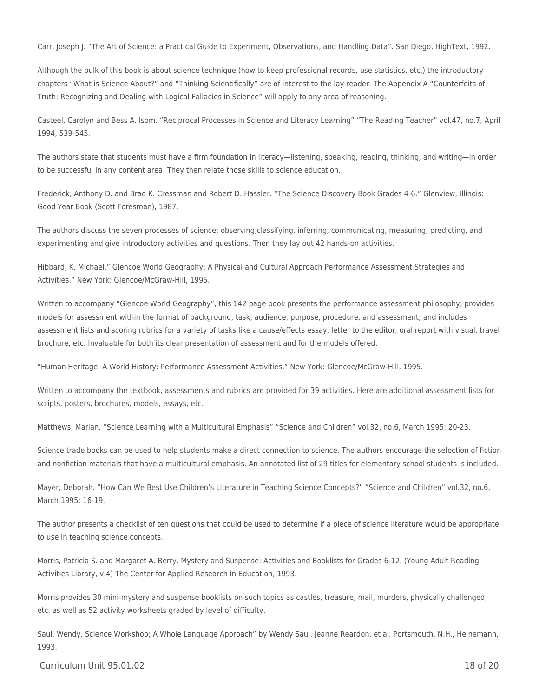Carr, Joseph J. "The Art of Science: a Practical Guide to Experiment, Observations, and Handling Data". San Diego, HighText, 1992.

Although the bulk of this book is about science technique (how to keep professional records, use statistics, etc.) the introductory chapters "What is Science About?" and "Thinking Scientifically" are of interest to the lay reader. The Appendix A "Counterfeits of Truth: Recognizing and Dealing with Logical Fallacies in Science" will apply to any area of reasoning.

Casteel, Carolyn and Bess A. Isom. "Reciprocal Processes in Science and Literacy Learning" "The Reading Teacher" vol.47, no.7, April 1994, 539-545.

The authors state that students must have a firm foundation in literacy—listening, speaking, reading, thinking, and writing—in order to be successful in any content area. They then relate those skills to science education.

Frederick, Anthony D. and Brad K. Cressman and Robert D. Hassler. "The Science Discovery Book Grades 4-6." Glenview, Illinois: Good Year Book (Scott Foresman), 1987.

The authors discuss the seven processes of science: observing,classifying, inferring, communicating, measuring, predicting, and experimenting and give introductory activities and questions. Then they lay out 42 hands-on activities.

Hibbard, K. Michael." Glencoe World Geography: A Physical and Cultural Approach Performance Assessment Strategies and Activities." New York: Glencoe/McGraw-Hill, 1995.

Written to accompany "Glencoe World Geography", this 142 page book presents the performance assessment philosophy; provides models for assessment within the format of background, task, audience, purpose, procedure, and assessment; and includes assessment lists and scoring rubrics for a variety of tasks like a cause/effects essay, letter to the editor, oral report with visual, travel brochure, etc. Invaluable for both its clear presentation of assessment and for the models offered.

"Human Heritage: A World History: Performance Assessment Activities." New York: Glencoe/McGraw-Hill, 1995.

Written to accompany the textbook, assessments and rubrics are provided for 39 activities. Here are additional assessment lists for scripts, posters, brochures, models, essays, etc.

Matthews, Marian. "Science Learning with a Multicultural Emphasis" "Science and Children" vol.32, no.6, March 1995: 20-23.

Science trade books can be used to help students make a direct connection to science. The authors encourage the selection of fiction and nonfiction materials that have a multicultural emphasis. An annotated list of 29 titles for elementary school students is included.

Mayer, Deborah. "How Can We Best Use Children's Literature in Teaching Science Concepts?" "Science and Children" vol.32, no.6, March 1995: 16-19.

The author presents a checklist of ten questions that could be used to determine if a piece of science literature would be appropriate to use in teaching science concepts.

Morris, Patricia S. and Margaret A. Berry. Mystery and Suspense: Activities and Booklists for Grades 6-12. (Young Adult Reading Activities Library, v.4) The Center for Applied Research in Education, 1993.

Morris provides 30 mini-mystery and suspense booklists on such topics as castles, treasure, mail, murders, physically challenged, etc. as well as 52 activity worksheets graded by level of difficulty.

Saul, Wendy. Science Workshop; A Whole Language Approach" by Wendy Saul, Jeanne Reardon, et al. Portsmouth, N.H., Heinemann, 1993.

Curriculum Unit 95.01.02 18 of 20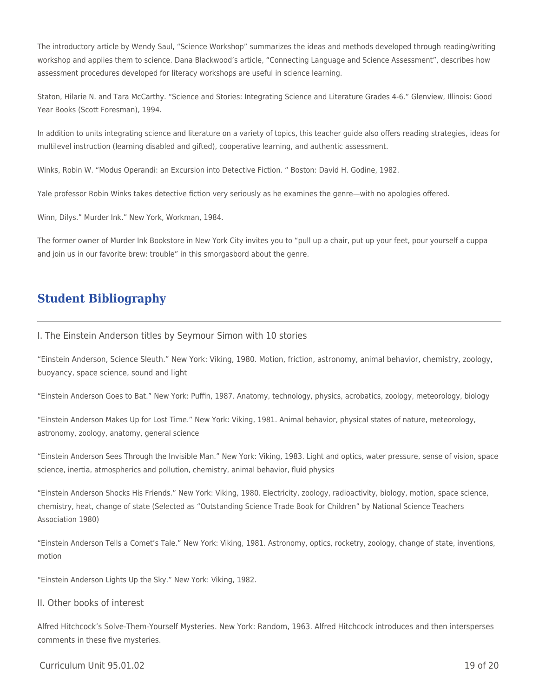The introductory article by Wendy Saul, "Science Workshop" summarizes the ideas and methods developed through reading/writing workshop and applies them to science. Dana Blackwood's article, "Connecting Language and Science Assessment", describes how assessment procedures developed for literacy workshops are useful in science learning.

Staton, Hilarie N. and Tara McCarthy. "Science and Stories: Integrating Science and Literature Grades 4-6." Glenview, Illinois: Good Year Books (Scott Foresman), 1994.

In addition to units integrating science and literature on a variety of topics, this teacher guide also offers reading strategies, ideas for multilevel instruction (learning disabled and gifted), cooperative learning, and authentic assessment.

Winks, Robin W. "Modus Operandi: an Excursion into Detective Fiction. " Boston: David H. Godine, 1982.

Yale professor Robin Winks takes detective fiction very seriously as he examines the genre—with no apologies offered.

Winn, Dilys." Murder Ink." New York, Workman, 1984.

The former owner of Murder Ink Bookstore in New York City invites you to "pull up a chair, put up your feet, pour yourself a cuppa and join us in our favorite brew: trouble" in this smorgasbord about the genre.

### **Student Bibliography**

#### I. The Einstein Anderson titles by Seymour Simon with 10 stories

"Einstein Anderson, Science Sleuth." New York: Viking, 1980. Motion, friction, astronomy, animal behavior, chemistry, zoology, buoyancy, space science, sound and light

"Einstein Anderson Goes to Bat." New York: Puffin, 1987. Anatomy, technology, physics, acrobatics, zoology, meteorology, biology

"Einstein Anderson Makes Up for Lost Time." New York: Viking, 1981. Animal behavior, physical states of nature, meteorology, astronomy, zoology, anatomy, general science

"Einstein Anderson Sees Through the Invisible Man." New York: Viking, 1983. Light and optics, water pressure, sense of vision, space science, inertia, atmospherics and pollution, chemistry, animal behavior, fluid physics

"Einstein Anderson Shocks His Friends." New York: Viking, 1980. Electricity, zoology, radioactivity, biology, motion, space science, chemistry, heat, change of state (Selected as "Outstanding Science Trade Book for Children" by National Science Teachers Association 1980)

"Einstein Anderson Tells a Comet's Tale." New York: Viking, 1981. Astronomy, optics, rocketry, zoology, change of state, inventions, motion

"Einstein Anderson Lights Up the Sky." New York: Viking, 1982.

#### II. Other books of interest

Alfred Hitchcock's Solve-Them-Yourself Mysteries. New York: Random, 1963. Alfred Hitchcock introduces and then intersperses comments in these five mysteries.